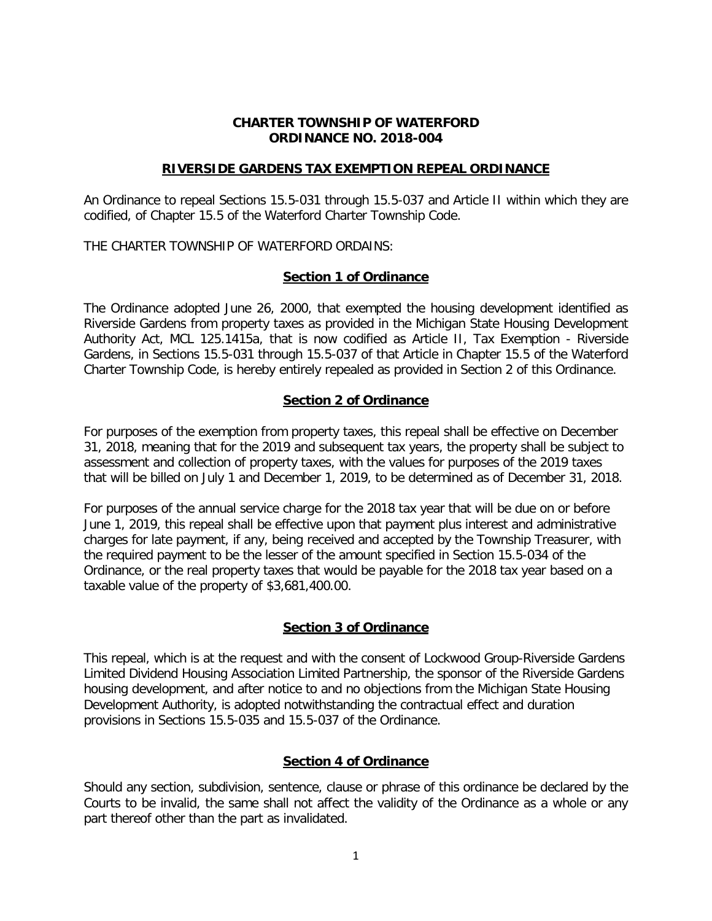#### **CHARTER TOWNSHIP OF WATERFORD ORDINANCE NO. 2018-004**

#### **RIVERSIDE GARDENS TAX EXEMPTION REPEAL ORDINANCE**

An Ordinance to repeal Sections 15.5-031 through 15.5-037 and Article II within which they are codified, of Chapter 15.5 of the Waterford Charter Township Code.

THE CHARTER TOWNSHIP OF WATERFORD ORDAINS:

# **Section 1 of Ordinance**

The Ordinance adopted June 26, 2000, that exempted the housing development identified as Riverside Gardens from property taxes as provided in the Michigan State Housing Development Authority Act, MCL 125.1415a, that is now codified as Article II, Tax Exemption - Riverside Gardens, in Sections 15.5-031 through 15.5-037 of that Article in Chapter 15.5 of the Waterford Charter Township Code, is hereby entirely repealed as provided in Section 2 of this Ordinance.

# **Section 2 of Ordinance**

For purposes of the exemption from property taxes, this repeal shall be effective on December 31, 2018, meaning that for the 2019 and subsequent tax years, the property shall be subject to assessment and collection of property taxes, with the values for purposes of the 2019 taxes that will be billed on July 1 and December 1, 2019, to be determined as of December 31, 2018.

For purposes of the annual service charge for the 2018 tax year that will be due on or before June 1, 2019, this repeal shall be effective upon that payment plus interest and administrative charges for late payment, if any, being received and accepted by the Township Treasurer, with the required payment to be the lesser of the amount specified in Section 15.5-034 of the Ordinance, or the real property taxes that would be payable for the 2018 tax year based on a taxable value of the property of \$3,681,400.00.

# **Section 3 of Ordinance**

This repeal, which is at the request and with the consent of Lockwood Group-Riverside Gardens Limited Dividend Housing Association Limited Partnership, the sponsor of the Riverside Gardens housing development, and after notice to and no objections from the Michigan State Housing Development Authority, is adopted notwithstanding the contractual effect and duration provisions in Sections 15.5-035 and 15.5-037 of the Ordinance.

# **Section 4 of Ordinance**

Should any section, subdivision, sentence, clause or phrase of this ordinance be declared by the Courts to be invalid, the same shall not affect the validity of the Ordinance as a whole or any part thereof other than the part as invalidated.